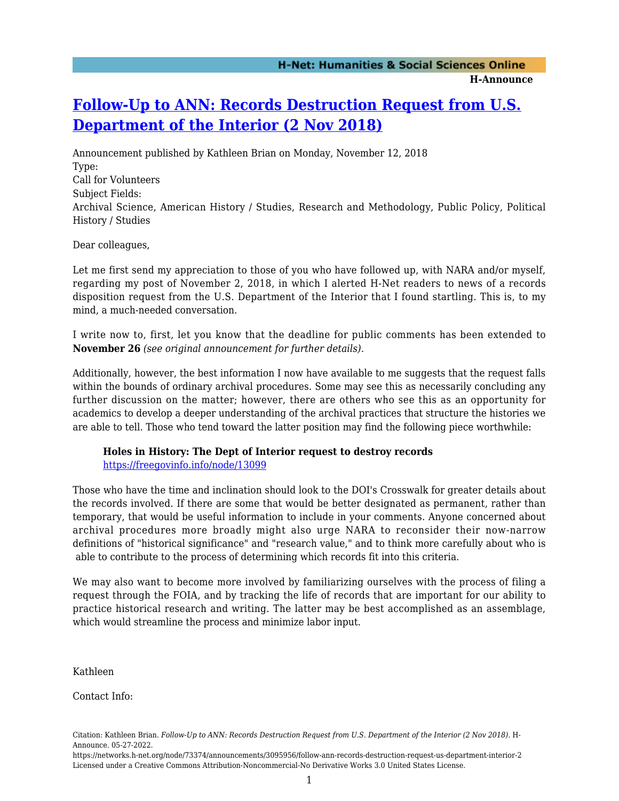## **[Follow-Up to ANN: Records Destruction Request from U.S.](https://networks.h-net.org/node/73374/announcements/3095956/follow-ann-records-destruction-request-us-department-interior-2) [Department of the Interior \(2 Nov 2018\)](https://networks.h-net.org/node/73374/announcements/3095956/follow-ann-records-destruction-request-us-department-interior-2)**

Announcement published by Kathleen Brian on Monday, November 12, 2018 Type: Call for Volunteers Subject Fields: Archival Science, American History / Studies, Research and Methodology, Public Policy, Political History / Studies

Dear colleagues,

Let me first send my appreciation to those of you who have followed up, with NARA and/or myself, regarding my post of November 2, 2018, in which I alerted H-Net readers to news of a records disposition request from the U.S. Department of the Interior that I found startling. This is, to my mind, a much-needed conversation.

I write now to, first, let you know that the deadline for public comments has been extended to **November 26** *(see original announcement for further details)*.

Additionally, however, the best information I now have available to me suggests that the request falls within the bounds of ordinary archival procedures. Some may see this as necessarily concluding any further discussion on the matter; however, there are others who see this as an opportunity for academics to develop a deeper understanding of the archival practices that structure the histories we are able to tell. Those who tend toward the latter position may find the following piece worthwhile:

## **Holes in History: The Dept of Interior request to destroy records**

<https://freegovinfo.info/node/13099>

Those who have the time and inclination should look to the DOI's Crosswalk for greater details about the records involved. If there are some that would be better designated as permanent, rather than temporary, that would be useful information to include in your comments. Anyone concerned about archival procedures more broadly might also urge NARA to reconsider their now-narrow definitions of "historical significance" and "research value," and to think more carefully about who is able to contribute to the process of determining which records fit into this criteria.

We may also want to become more involved by familiarizing ourselves with the process of filing a request through the FOIA, and by tracking the life of records that are important for our ability to practice historical research and writing. The latter may be best accomplished as an assemblage, which would streamline the process and minimize labor input.

Kathleen

Contact Info:

Citation: Kathleen Brian. *Follow-Up to ANN: Records Destruction Request from U.S. Department of the Interior (2 Nov 2018)*. H-Announce. 05-27-2022.

https://networks.h-net.org/node/73374/announcements/3095956/follow-ann-records-destruction-request-us-department-interior-2 Licensed under a Creative Commons Attribution-Noncommercial-No Derivative Works 3.0 United States License.